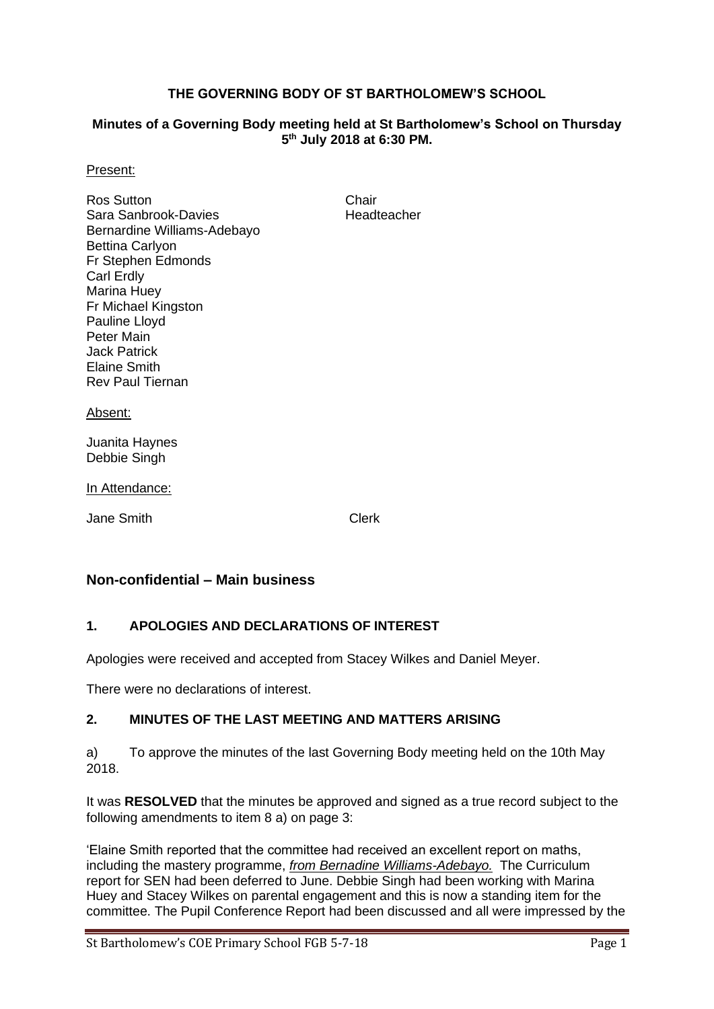### **THE GOVERNING BODY OF ST BARTHOLOMEW'S SCHOOL**

#### **Minutes of a Governing Body meeting held at St Bartholomew's School on Thursday 5 th July 2018 at 6:30 PM.**

#### Present:

Ros Sutton Chair Sara Sanbrook-Davies **Headteacher** Bernardine Williams-Adebayo Bettina Carlyon Fr Stephen Edmonds Carl Erdly Marina Huey Fr Michael Kingston Pauline Lloyd Peter Main Jack Patrick Elaine Smith Rev Paul Tiernan

#### Absent:

Juanita Haynes Debbie Singh

#### In Attendance:

Jane Smith Clerk

## **Non-confidential – Main business**

### **1. APOLOGIES AND DECLARATIONS OF INTEREST**

Apologies were received and accepted from Stacey Wilkes and Daniel Meyer.

There were no declarations of interest.

### **2. MINUTES OF THE LAST MEETING AND MATTERS ARISING**

a) To approve the minutes of the last Governing Body meeting held on the 10th May 2018.

It was **RESOLVED** that the minutes be approved and signed as a true record subject to the following amendments to item 8 a) on page 3:

'Elaine Smith reported that the committee had received an excellent report on maths, including the mastery programme, *from Bernadine Williams-Adebayo.* The Curriculum report for SEN had been deferred to June. Debbie Singh had been working with Marina Huey and Stacey Wilkes on parental engagement and this is now a standing item for the committee. The Pupil Conference Report had been discussed and all were impressed by the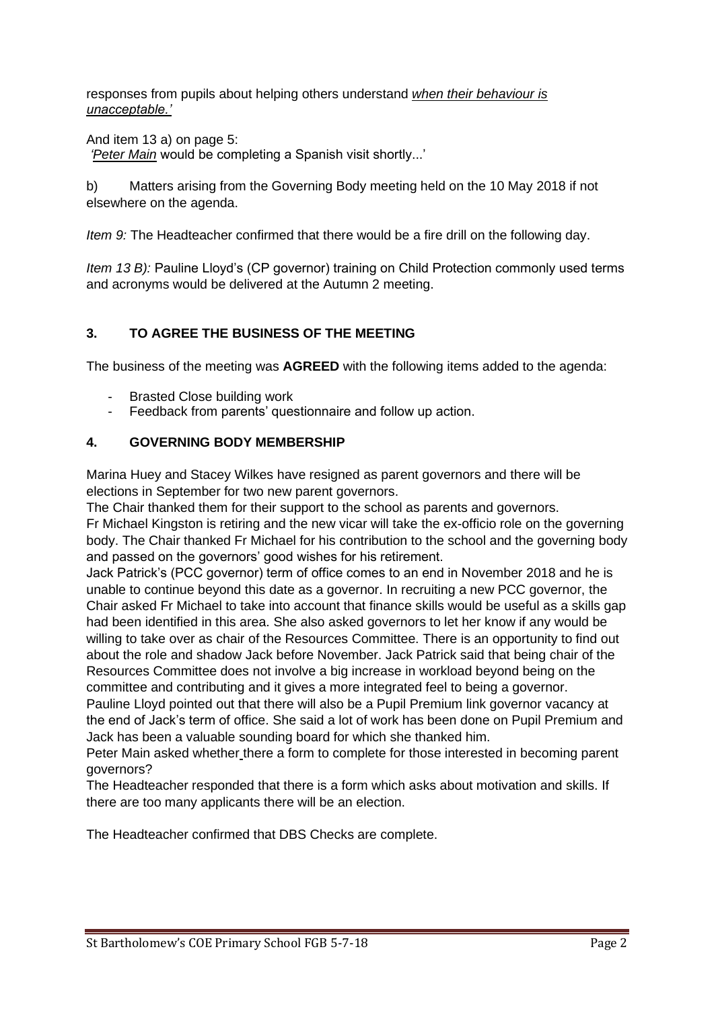responses from pupils about helping others understand *when their behaviour is unacceptable.'*

And item 13 a) on page 5:

*'Peter Main* would be completing a Spanish visit shortly...'

b) Matters arising from the Governing Body meeting held on the 10 May 2018 if not elsewhere on the agenda.

*Item 9:* The Headteacher confirmed that there would be a fire drill on the following day.

*Item 13 B):* Pauline Lloyd's (CP governor) training on Child Protection commonly used terms and acronyms would be delivered at the Autumn 2 meeting.

# **3. TO AGREE THE BUSINESS OF THE MEETING**

The business of the meeting was **AGREED** with the following items added to the agenda:

- Brasted Close building work
- Feedback from parents' questionnaire and follow up action.

# **4. GOVERNING BODY MEMBERSHIP**

Marina Huey and Stacey Wilkes have resigned as parent governors and there will be elections in September for two new parent governors.

The Chair thanked them for their support to the school as parents and governors.

Fr Michael Kingston is retiring and the new vicar will take the ex-officio role on the governing body. The Chair thanked Fr Michael for his contribution to the school and the governing body and passed on the governors' good wishes for his retirement.

Jack Patrick's (PCC governor) term of office comes to an end in November 2018 and he is unable to continue beyond this date as a governor. In recruiting a new PCC governor, the Chair asked Fr Michael to take into account that finance skills would be useful as a skills gap had been identified in this area. She also asked governors to let her know if any would be willing to take over as chair of the Resources Committee. There is an opportunity to find out about the role and shadow Jack before November. Jack Patrick said that being chair of the Resources Committee does not involve a big increase in workload beyond being on the committee and contributing and it gives a more integrated feel to being a governor.

Pauline Lloyd pointed out that there will also be a Pupil Premium link governor vacancy at the end of Jack's term of office. She said a lot of work has been done on Pupil Premium and Jack has been a valuable sounding board for which she thanked him.

Peter Main asked whether there a form to complete for those interested in becoming parent governors?

The Headteacher responded that there is a form which asks about motivation and skills. If there are too many applicants there will be an election.

The Headteacher confirmed that DBS Checks are complete.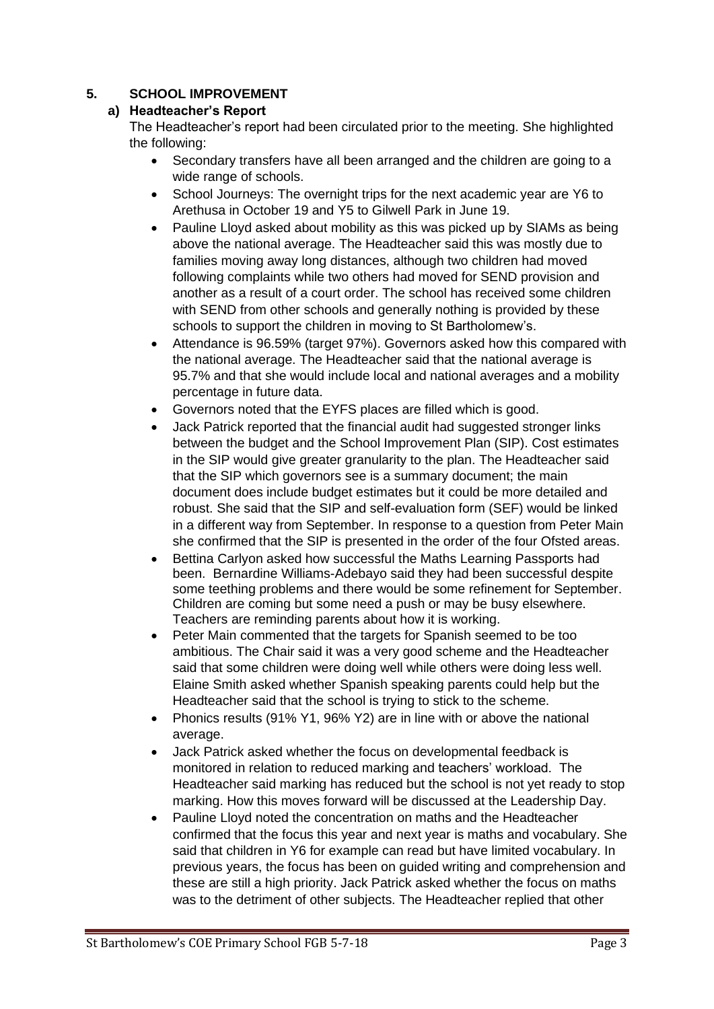# **5. SCHOOL IMPROVEMENT**

## **a) Headteacher's Report**

The Headteacher's report had been circulated prior to the meeting. She highlighted the following:

- Secondary transfers have all been arranged and the children are going to a wide range of schools.
- School Journeys: The overnight trips for the next academic year are Y6 to Arethusa in October 19 and Y5 to Gilwell Park in June 19.
- Pauline Lloyd asked about mobility as this was picked up by SIAMs as being above the national average. The Headteacher said this was mostly due to families moving away long distances, although two children had moved following complaints while two others had moved for SEND provision and another as a result of a court order. The school has received some children with SEND from other schools and generally nothing is provided by these schools to support the children in moving to St Bartholomew's.
- Attendance is 96.59% (target 97%). Governors asked how this compared with the national average. The Headteacher said that the national average is 95.7% and that she would include local and national averages and a mobility percentage in future data.
- Governors noted that the EYFS places are filled which is good.
- Jack Patrick reported that the financial audit had suggested stronger links between the budget and the School Improvement Plan (SIP). Cost estimates in the SIP would give greater granularity to the plan. The Headteacher said that the SIP which governors see is a summary document; the main document does include budget estimates but it could be more detailed and robust. She said that the SIP and self-evaluation form (SEF) would be linked in a different way from September. In response to a question from Peter Main she confirmed that the SIP is presented in the order of the four Ofsted areas.
- Bettina Carlyon asked how successful the Maths Learning Passports had been. Bernardine Williams-Adebayo said they had been successful despite some teething problems and there would be some refinement for September. Children are coming but some need a push or may be busy elsewhere. Teachers are reminding parents about how it is working.
- Peter Main commented that the targets for Spanish seemed to be too ambitious. The Chair said it was a very good scheme and the Headteacher said that some children were doing well while others were doing less well. Elaine Smith asked whether Spanish speaking parents could help but the Headteacher said that the school is trying to stick to the scheme.
- Phonics results (91% Y1, 96% Y2) are in line with or above the national average.
- Jack Patrick asked whether the focus on developmental feedback is monitored in relation to reduced marking and teachers' workload. The Headteacher said marking has reduced but the school is not yet ready to stop marking. How this moves forward will be discussed at the Leadership Day.
- Pauline Lloyd noted the concentration on maths and the Headteacher confirmed that the focus this year and next year is maths and vocabulary. She said that children in Y6 for example can read but have limited vocabulary. In previous years, the focus has been on guided writing and comprehension and these are still a high priority. Jack Patrick asked whether the focus on maths was to the detriment of other subjects. The Headteacher replied that other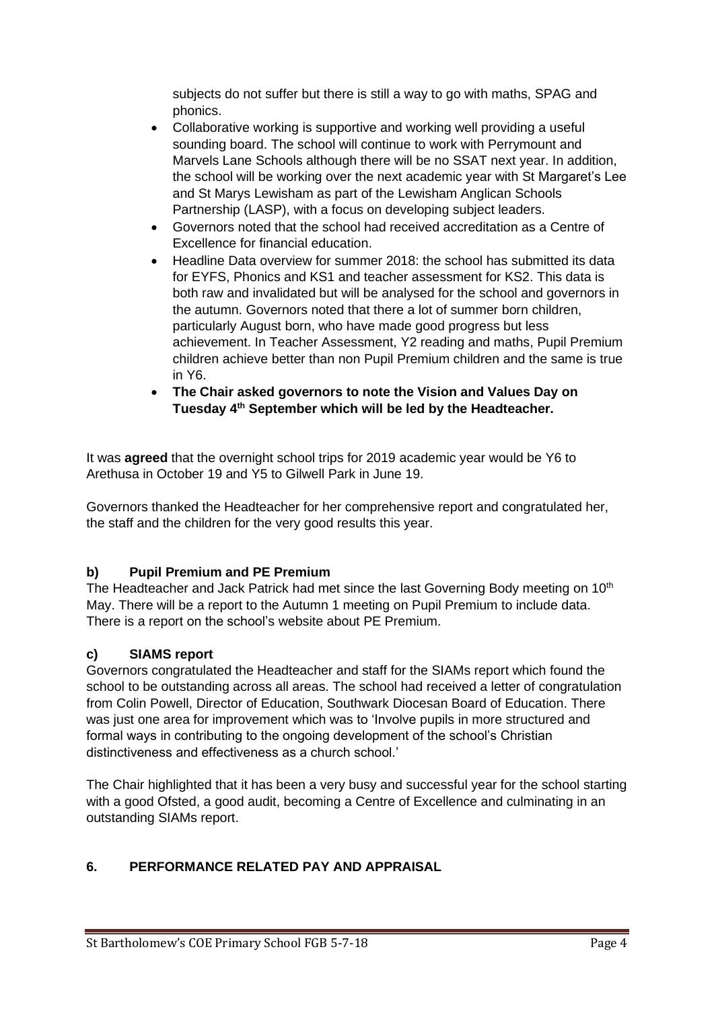subjects do not suffer but there is still a way to go with maths, SPAG and phonics.

- Collaborative working is supportive and working well providing a useful sounding board. The school will continue to work with Perrymount and Marvels Lane Schools although there will be no SSAT next year. In addition, the school will be working over the next academic year with St Margaret's Lee and St Marys Lewisham as part of the Lewisham Anglican Schools Partnership (LASP), with a focus on developing subject leaders.
- Governors noted that the school had received accreditation as a Centre of Excellence for financial education.
- Headline Data overview for summer 2018: the school has submitted its data for EYFS, Phonics and KS1 and teacher assessment for KS2. This data is both raw and invalidated but will be analysed for the school and governors in the autumn. Governors noted that there a lot of summer born children, particularly August born, who have made good progress but less achievement. In Teacher Assessment, Y2 reading and maths, Pupil Premium children achieve better than non Pupil Premium children and the same is true in Y6.
- **The Chair asked governors to note the Vision and Values Day on Tuesday 4th September which will be led by the Headteacher.**

It was **agreed** that the overnight school trips for 2019 academic year would be Y6 to Arethusa in October 19 and Y5 to Gilwell Park in June 19.

Governors thanked the Headteacher for her comprehensive report and congratulated her, the staff and the children for the very good results this year.

# **b) Pupil Premium and PE Premium**

The Headteacher and Jack Patrick had met since the last Governing Body meeting on  $10<sup>th</sup>$ May. There will be a report to the Autumn 1 meeting on Pupil Premium to include data. There is a report on the school's website about PE Premium.

## **c) SIAMS report**

Governors congratulated the Headteacher and staff for the SIAMs report which found the school to be outstanding across all areas. The school had received a letter of congratulation from Colin Powell, Director of Education, Southwark Diocesan Board of Education. There was just one area for improvement which was to 'Involve pupils in more structured and formal ways in contributing to the ongoing development of the school's Christian distinctiveness and effectiveness as a church school.'

The Chair highlighted that it has been a very busy and successful year for the school starting with a good Ofsted, a good audit, becoming a Centre of Excellence and culminating in an outstanding SIAMs report.

# **6. PERFORMANCE RELATED PAY AND APPRAISAL**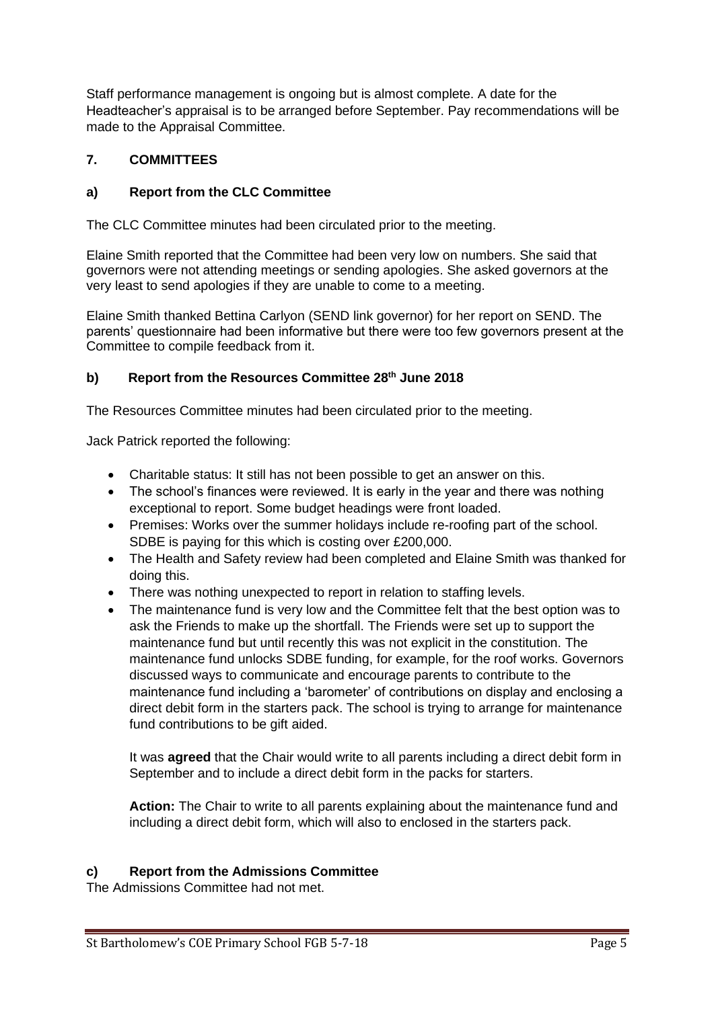Staff performance management is ongoing but is almost complete. A date for the Headteacher's appraisal is to be arranged before September. Pay recommendations will be made to the Appraisal Committee.

# **7. COMMITTEES**

# **a) Report from the CLC Committee**

The CLC Committee minutes had been circulated prior to the meeting.

Elaine Smith reported that the Committee had been very low on numbers. She said that governors were not attending meetings or sending apologies. She asked governors at the very least to send apologies if they are unable to come to a meeting.

Elaine Smith thanked Bettina Carlyon (SEND link governor) for her report on SEND. The parents' questionnaire had been informative but there were too few governors present at the Committee to compile feedback from it.

## **b) Report from the Resources Committee 28th June 2018**

The Resources Committee minutes had been circulated prior to the meeting.

Jack Patrick reported the following:

- Charitable status: It still has not been possible to get an answer on this.
- The school's finances were reviewed. It is early in the year and there was nothing exceptional to report. Some budget headings were front loaded.
- Premises: Works over the summer holidays include re-roofing part of the school. SDBE is paying for this which is costing over £200,000.
- The Health and Safety review had been completed and Elaine Smith was thanked for doing this.
- There was nothing unexpected to report in relation to staffing levels.
- The maintenance fund is very low and the Committee felt that the best option was to ask the Friends to make up the shortfall. The Friends were set up to support the maintenance fund but until recently this was not explicit in the constitution. The maintenance fund unlocks SDBE funding, for example, for the roof works. Governors discussed ways to communicate and encourage parents to contribute to the maintenance fund including a 'barometer' of contributions on display and enclosing a direct debit form in the starters pack. The school is trying to arrange for maintenance fund contributions to be gift aided.

It was **agreed** that the Chair would write to all parents including a direct debit form in September and to include a direct debit form in the packs for starters.

**Action:** The Chair to write to all parents explaining about the maintenance fund and including a direct debit form, which will also to enclosed in the starters pack.

### **c) Report from the Admissions Committee**

The Admissions Committee had not met.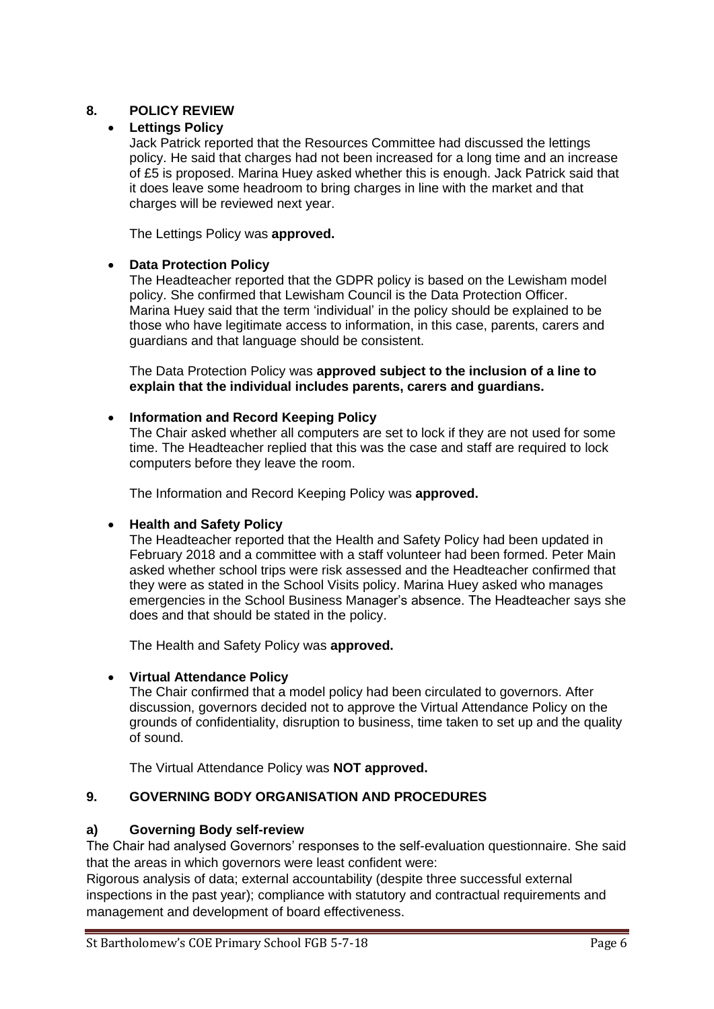## **8. POLICY REVIEW**

### • **Lettings Policy**

Jack Patrick reported that the Resources Committee had discussed the lettings policy. He said that charges had not been increased for a long time and an increase of £5 is proposed. Marina Huey asked whether this is enough. Jack Patrick said that it does leave some headroom to bring charges in line with the market and that charges will be reviewed next year.

The Lettings Policy was **approved.**

### • **Data Protection Policy**

The Headteacher reported that the GDPR policy is based on the Lewisham model policy. She confirmed that Lewisham Council is the Data Protection Officer. Marina Huey said that the term 'individual' in the policy should be explained to be those who have legitimate access to information, in this case, parents, carers and guardians and that language should be consistent.

The Data Protection Policy was **approved subject to the inclusion of a line to explain that the individual includes parents, carers and guardians.**

#### • **Information and Record Keeping Policy**

The Chair asked whether all computers are set to lock if they are not used for some time. The Headteacher replied that this was the case and staff are required to lock computers before they leave the room.

The Information and Record Keeping Policy was **approved.**

### • **Health and Safety Policy**

The Headteacher reported that the Health and Safety Policy had been updated in February 2018 and a committee with a staff volunteer had been formed. Peter Main asked whether school trips were risk assessed and the Headteacher confirmed that they were as stated in the School Visits policy. Marina Huey asked who manages emergencies in the School Business Manager's absence. The Headteacher says she does and that should be stated in the policy.

The Health and Safety Policy was **approved.**

## • **Virtual Attendance Policy**

The Chair confirmed that a model policy had been circulated to governors. After discussion, governors decided not to approve the Virtual Attendance Policy on the grounds of confidentiality, disruption to business, time taken to set up and the quality of sound.

The Virtual Attendance Policy was **NOT approved.**

### **9. GOVERNING BODY ORGANISATION AND PROCEDURES**

### **a) Governing Body self-review**

The Chair had analysed Governors' responses to the self-evaluation questionnaire. She said that the areas in which governors were least confident were:

Rigorous analysis of data; external accountability (despite three successful external inspections in the past year); compliance with statutory and contractual requirements and management and development of board effectiveness.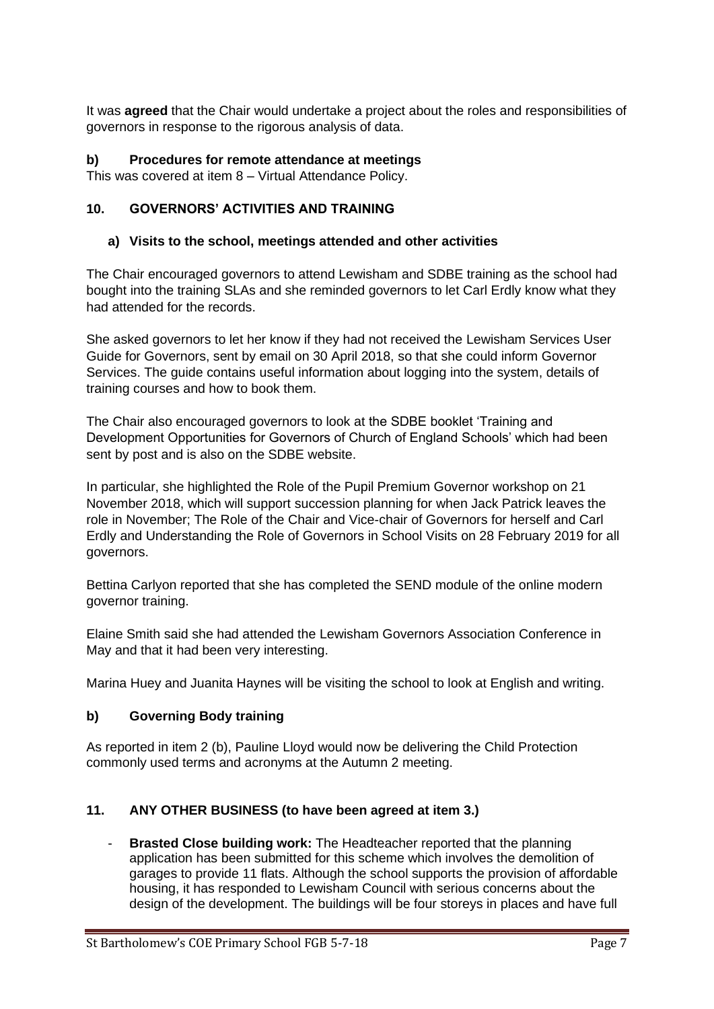It was **agreed** that the Chair would undertake a project about the roles and responsibilities of governors in response to the rigorous analysis of data.

## **b) Procedures for remote attendance at meetings**

This was covered at item 8 – Virtual Attendance Policy.

## **10. GOVERNORS' ACTIVITIES AND TRAINING**

### **a) Visits to the school, meetings attended and other activities**

The Chair encouraged governors to attend Lewisham and SDBE training as the school had bought into the training SLAs and she reminded governors to let Carl Erdly know what they had attended for the records.

She asked governors to let her know if they had not received the Lewisham Services User Guide for Governors, sent by email on 30 April 2018, so that she could inform Governor Services. The guide contains useful information about logging into the system, details of training courses and how to book them.

The Chair also encouraged governors to look at the SDBE booklet 'Training and Development Opportunities for Governors of Church of England Schools' which had been sent by post and is also on the SDBE website.

In particular, she highlighted the Role of the Pupil Premium Governor workshop on 21 November 2018, which will support succession planning for when Jack Patrick leaves the role in November; The Role of the Chair and Vice-chair of Governors for herself and Carl Erdly and Understanding the Role of Governors in School Visits on 28 February 2019 for all governors.

Bettina Carlyon reported that she has completed the SEND module of the online modern governor training.

Elaine Smith said she had attended the Lewisham Governors Association Conference in May and that it had been very interesting.

Marina Huey and Juanita Haynes will be visiting the school to look at English and writing.

### **b) Governing Body training**

As reported in item 2 (b), Pauline Lloyd would now be delivering the Child Protection commonly used terms and acronyms at the Autumn 2 meeting.

## **11. ANY OTHER BUSINESS (to have been agreed at item 3.)**

- **Brasted Close building work:** The Headteacher reported that the planning application has been submitted for this scheme which involves the demolition of garages to provide 11 flats. Although the school supports the provision of affordable housing, it has responded to Lewisham Council with serious concerns about the design of the development. The buildings will be four storeys in places and have full